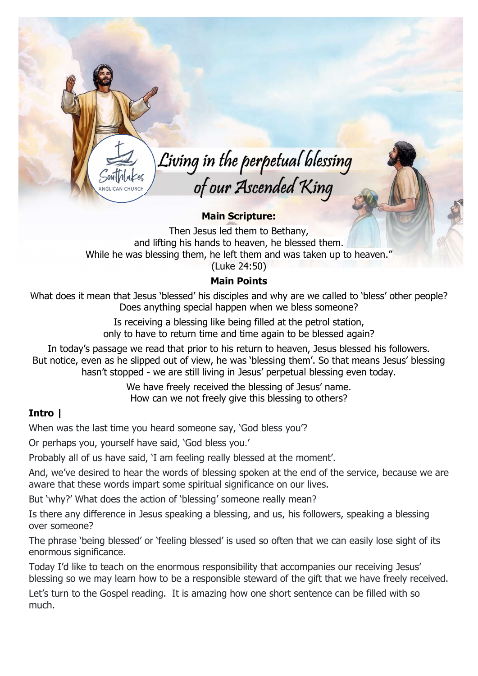Living in the perpetual blessing of our Ascended King

## Main Scripture:

Then Jesus led them to Bethany, and lifting his hands to heaven, he blessed them. While he was blessing them, he left them and was taken up to heaven." (Luke 24:50)

## Main Points

What does it mean that Jesus 'blessed' his disciples and why are we called to 'bless' other people? Does anything special happen when we bless someone?

> Is receiving a blessing like being filled at the petrol station, only to have to return time and time again to be blessed again?

In today's passage we read that prior to his return to heaven, Jesus blessed his followers. But notice, even as he slipped out of view, he was 'blessing them'. So that means Jesus' blessing hasn't stopped - we are still living in Jesus' perpetual blessing even today.

> We have freely received the blessing of Jesus' name. How can we not freely give this blessing to others?

## Intro |

When was the last time you heard someone say, 'God bless you'?

Or perhaps you, yourself have said, 'God bless you.'

Probably all of us have said, 'I am feeling really blessed at the moment'.

And, we've desired to hear the words of blessing spoken at the end of the service, because we are aware that these words impart some spiritual significance on our lives.

But 'why?' What does the action of 'blessing' someone really mean?

Is there any difference in Jesus speaking a blessing, and us, his followers, speaking a blessing over someone?

The phrase 'being blessed' or 'feeling blessed' is used so often that we can easily lose sight of its enormous significance.

Today I'd like to teach on the enormous responsibility that accompanies our receiving Jesus' blessing so we may learn how to be a responsible steward of the gift that we have freely received.

Let's turn to the Gospel reading. It is amazing how one short sentence can be filled with so much.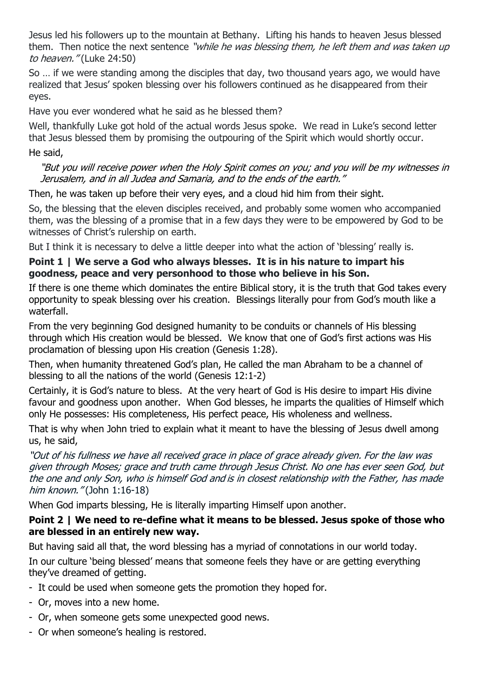Jesus led his followers up to the mountain at Bethany. Lifting his hands to heaven Jesus blessed them. Then notice the next sentence "while he was blessing them, he left them and was taken up to heaven." (Luke 24:50)

So … if we were standing among the disciples that day, two thousand years ago, we would have realized that Jesus' spoken blessing over his followers continued as he disappeared from their eyes.

Have you ever wondered what he said as he blessed them?

Well, thankfully Luke got hold of the actual words Jesus spoke. We read in Luke's second letter that Jesus blessed them by promising the outpouring of the Spirit which would shortly occur. He said,

#### "But you will receive power when the Holy Spirit comes on you; and you will be my witnesses in Jerusalem, and in all Judea and Samaria, and to the ends of the earth."

Then, he was taken up before their very eyes, and a cloud hid him from their sight.

So, the blessing that the eleven disciples received, and probably some women who accompanied them, was the blessing of a promise that in a few days they were to be empowered by God to be witnesses of Christ's rulership on earth.

But I think it is necessary to delve a little deeper into what the action of 'blessing' really is.

# Point 1 | We serve a God who always blesses. It is in his nature to impart his goodness, peace and very personhood to those who believe in his Son.

If there is one theme which dominates the entire Biblical story, it is the truth that God takes every opportunity to speak blessing over his creation. Blessings literally pour from God's mouth like a waterfall.

From the very beginning God designed humanity to be conduits or channels of His blessing through which His creation would be blessed. We know that one of God's first actions was His proclamation of blessing upon His creation (Genesis 1:28).

Then, when humanity threatened God's plan, He called the man Abraham to be a channel of blessing to all the nations of the world (Genesis 12:1-2)

Certainly, it is God's nature to bless. At the very heart of God is His desire to impart His divine favour and goodness upon another. When God blesses, he imparts the qualities of Himself which only He possesses: His completeness, His perfect peace, His wholeness and wellness.

That is why when John tried to explain what it meant to have the blessing of Jesus dwell among us, he said,

"Out of his fullness we have all received grace in place of grace already given. For the law was given through Moses; grace and truth came through Jesus Christ. No one has ever seen God, but the one and only Son, who is himself God and is in closest relationship with the Father, has made him known." (John 1:16-18)

When God imparts blessing, He is literally imparting Himself upon another.

# Point 2 | We need to re-define what it means to be blessed. Jesus spoke of those who are blessed in an entirely new way.

But having said all that, the word blessing has a myriad of connotations in our world today.

In our culture 'being blessed' means that someone feels they have or are getting everything they've dreamed of getting.

- It could be used when someone gets the promotion they hoped for.
- Or, moves into a new home.
- Or, when someone gets some unexpected good news.
- Or when someone's healing is restored.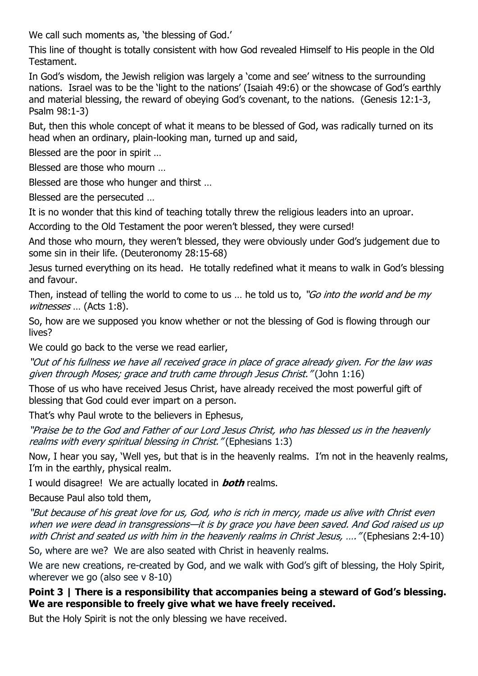We call such moments as, 'the blessing of God.'

This line of thought is totally consistent with how God revealed Himself to His people in the Old Testament.

In God's wisdom, the Jewish religion was largely a 'come and see' witness to the surrounding nations. Israel was to be the 'light to the nations' (Isaiah 49:6) or the showcase of God's earthly and material blessing, the reward of obeying God's covenant, to the nations. (Genesis 12:1-3, Psalm 98:1-3)

But, then this whole concept of what it means to be blessed of God, was radically turned on its head when an ordinary, plain-looking man, turned up and said,

Blessed are the poor in spirit …

Blessed are those who mourn …

Blessed are those who hunger and thirst …

Blessed are the persecuted …

It is no wonder that this kind of teaching totally threw the religious leaders into an uproar.

According to the Old Testament the poor weren't blessed, they were cursed!

And those who mourn, they weren't blessed, they were obviously under God's judgement due to some sin in their life. (Deuteronomy 28:15-68)

Jesus turned everything on its head. He totally redefined what it means to walk in God's blessing and favour.

Then, instead of telling the world to come to us ... he told us to, "Go into the world and be my witnesses ... (Acts 1:8).

So, how are we supposed you know whether or not the blessing of God is flowing through our lives?

We could go back to the verse we read earlier,

"Out of his fullness we have all received grace in place of grace already given. For the law was given through Moses; grace and truth came through Jesus Christ." (John 1:16)

Those of us who have received Jesus Christ, have already received the most powerful gift of blessing that God could ever impart on a person.

That's why Paul wrote to the believers in Ephesus,

"Praise be to the God and Father of our Lord Jesus Christ, who has blessed us in the heavenly realms with every spiritual blessing in Christ." (Ephesians 1:3)

Now, I hear you say, 'Well yes, but that is in the heavenly realms. I'm not in the heavenly realms, I'm in the earthly, physical realm.

I would disagree! We are actually located in **both** realms.

Because Paul also told them,

"But because of his great love for us, God, who is rich in mercy, made us alive with Christ even when we were dead in transgressions—it is by grace you have been saved. And God raised us up with Christ and seated us with him in the heavenly realms in Christ Jesus, .... "(Ephesians 2:4-10)

So, where are we? We are also seated with Christ in heavenly realms.

We are new creations, re-created by God, and we walk with God's gift of blessing, the Holy Spirit, wherever we go (also see v 8-10)

### Point 3 | There is a responsibility that accompanies being a steward of God's blessing. We are responsible to freely give what we have freely received.

But the Holy Spirit is not the only blessing we have received.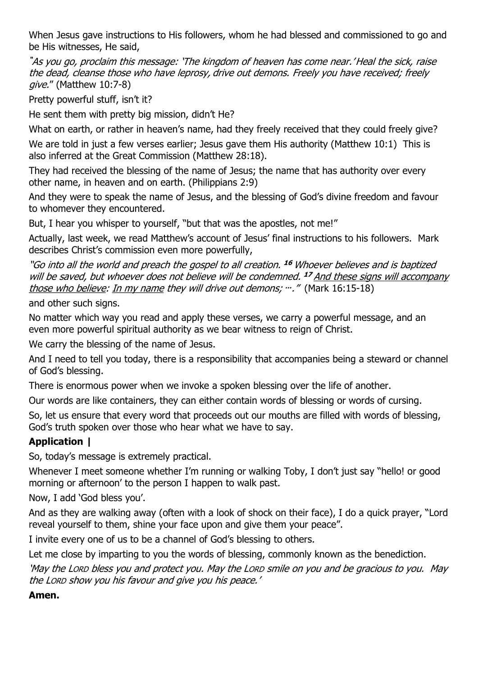When Jesus gave instructions to His followers, whom he had blessed and commissioned to go and be His witnesses, He said,

"As you go, proclaim this message: 'The kingdom of heaven has come near.' Heal the sick, raise the dead, cleanse those who have leprosy, drive out demons. Freely you have received; freely give." (Matthew 10:7-8)

Pretty powerful stuff, isn't it?

He sent them with pretty big mission, didn't He?

What on earth, or rather in heaven's name, had they freely received that they could freely give?

We are told in just a few verses earlier; Jesus gave them His authority (Matthew 10:1) This is also inferred at the Great Commission (Matthew 28:18).

They had received the blessing of the name of Jesus; the name that has authority over every other name, in heaven and on earth. (Philippians 2:9)

And they were to speak the name of Jesus, and the blessing of God's divine freedom and favour to whomever they encountered.

But, I hear you whisper to yourself, "but that was the apostles, not me!"

Actually, last week, we read Matthew's account of Jesus' final instructions to his followers. Mark describes Christ's commission even more powerfully,

"Go into all the world and preach the gospel to all creation. <sup>16</sup> Whoever believes and is baptized will be saved, but whoever does not believe will be condemned. <sup>17</sup> And these signs will accompany those who believe: In my name they will drive out demons; …. " (Mark 16:15-18)

and other such signs.

No matter which way you read and apply these verses, we carry a powerful message, and an even more powerful spiritual authority as we bear witness to reign of Christ.

We carry the blessing of the name of Jesus.

And I need to tell you today, there is a responsibility that accompanies being a steward or channel of God's blessing.

There is enormous power when we invoke a spoken blessing over the life of another.

Our words are like containers, they can either contain words of blessing or words of cursing.

So, let us ensure that every word that proceeds out our mouths are filled with words of blessing, God's truth spoken over those who hear what we have to say.

## Application |

So, today's message is extremely practical.

Whenever I meet someone whether I'm running or walking Toby, I don't just say "hello! or good morning or afternoon' to the person I happen to walk past.

Now, I add 'God bless you'.

And as they are walking away (often with a look of shock on their face), I do a quick prayer, "Lord reveal yourself to them, shine your face upon and give them your peace".

I invite every one of us to be a channel of God's blessing to others.

Let me close by imparting to you the words of blessing, commonly known as the benediction.

'May the LORD bless you and protect you. May the LORD smile on you and be gracious to you. May the LORD show you his favour and give you his peace.'

#### Amen.